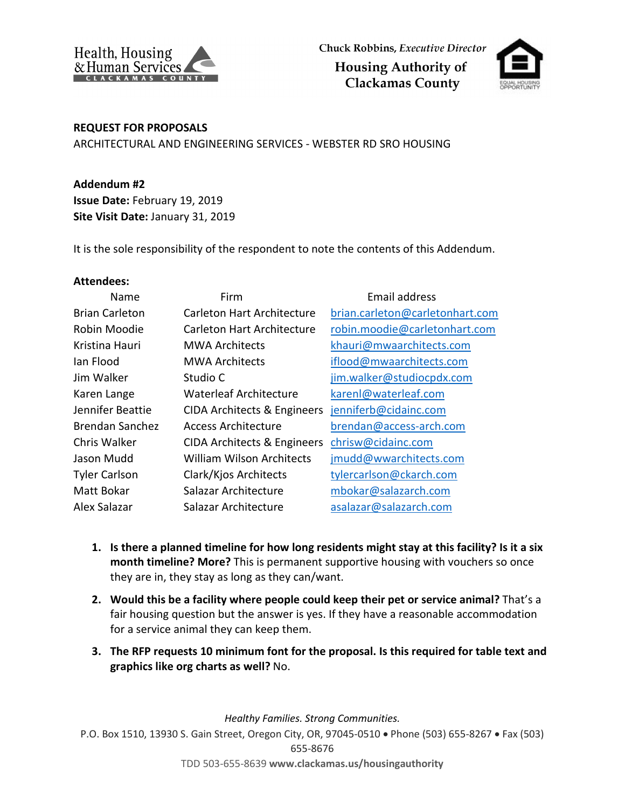



## **REQUEST FOR PROPOSALS**

ARCHITECTURAL AND ENGINEERING SERVICES - WEBSTER RD SRO HOUSING

**Addendum #2 Issue Date:** February 19, 2019 **Site Visit Date:** January 31, 2019

It is the sole responsibility of the respondent to note the contents of this Addendum.

## **Attendees:**

| Name                  | Firm                             | Email address                   |
|-----------------------|----------------------------------|---------------------------------|
| <b>Brian Carleton</b> | Carleton Hart Architecture       | brian.carleton@carletonhart.com |
| Robin Moodie          | Carleton Hart Architecture       | robin.moodie@carletonhart.com   |
| Kristina Hauri        | <b>MWA Architects</b>            | khauri@mwaarchitects.com        |
| lan Flood             | <b>MWA Architects</b>            | iflood@mwaarchitects.com        |
| Jim Walker            | Studio C                         | jim.walker@studiocpdx.com       |
| Karen Lange           | <b>Waterleaf Architecture</b>    | karenl@waterleaf.com            |
| Jennifer Beattie      | CIDA Architects & Engineers      | jenniferb@cidainc.com           |
| Brendan Sanchez       | Access Architecture              | brendan@access-arch.com         |
| Chris Walker          | CIDA Architects & Engineers      | chrisw@cidainc.com              |
| Jason Mudd            | <b>William Wilson Architects</b> | jmudd@wwarchitects.com          |
| <b>Tyler Carlson</b>  | Clark/Kjos Architects            | tylercarlson@ckarch.com         |
| Matt Bokar            | Salazar Architecture             | mbokar@salazarch.com            |
| Alex Salazar          | Salazar Architecture             | asalazar@salazarch.com          |

- **1. Is there a planned timeline for how long residents might stay at this facility? Is it a six month timeline? More?** This is permanent supportive housing with vouchers so once they are in, they stay as long as they can/want.
- **2. Would this be a facility where people could keep their pet or service animal?** That's a fair housing question but the answer is yes. If they have a reasonable accommodation for a service animal they can keep them.
- **3. The RFP requests 10 minimum font for the proposal. Is this required for table text and graphics like org charts as well?** No.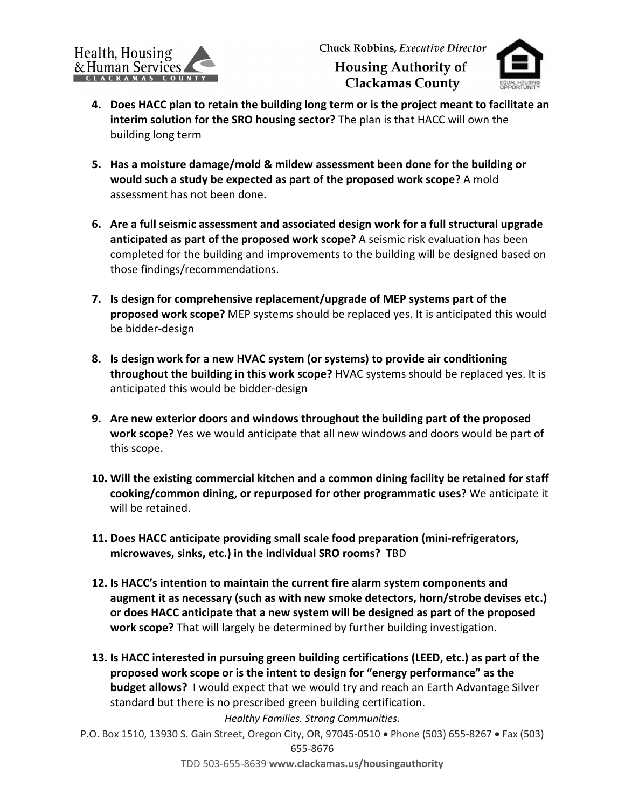

- **4. Does HACC plan to retain the building long term or is the project meant to facilitate an interim solution for the SRO housing sector?** The plan is that HACC will own the building long term
- **5. Has a moisture damage/mold & mildew assessment been done for the building or would such a study be expected as part of the proposed work scope?** A mold assessment has not been done.
- **6. Are a full seismic assessment and associated design work for a full structural upgrade anticipated as part of the proposed work scope?** A seismic risk evaluation has been completed for the building and improvements to the building will be designed based on those findings/recommendations.
- **7. Is design for comprehensive replacement/upgrade of MEP systems part of the proposed work scope?** MEP systems should be replaced yes. It is anticipated this would be bidder-design
- **8. Is design work for a new HVAC system (or systems) to provide air conditioning throughout the building in this work scope?** HVAC systems should be replaced yes. It is anticipated this would be bidder-design
- **9. Are new exterior doors and windows throughout the building part of the proposed work scope?** Yes we would anticipate that all new windows and doors would be part of this scope.
- **10. Will the existing commercial kitchen and a common dining facility be retained for staff cooking/common dining, or repurposed for other programmatic uses?** We anticipate it will be retained.
- **11. Does HACC anticipate providing small scale food preparation (mini-refrigerators, microwaves, sinks, etc.) in the individual SRO rooms?** TBD
- **12. Is HACC's intention to maintain the current fire alarm system components and augment it as necessary (such as with new smoke detectors, horn/strobe devises etc.) or does HACC anticipate that a new system will be designed as part of the proposed work scope?** That will largely be determined by further building investigation.
- **13. Is HACC interested in pursuing green building certifications (LEED, etc.) as part of the proposed work scope or is the intent to design for "energy performance" as the budget allows?** I would expect that we would try and reach an Earth Advantage Silver standard but there is no prescribed green building certification.

*Healthy Families. Strong Communities.*

P.O. Box 1510, 13930 S. Gain Street, Oregon City, OR, 97045-0510 • Phone (503) 655-8267 • Fax (503)

655-8676